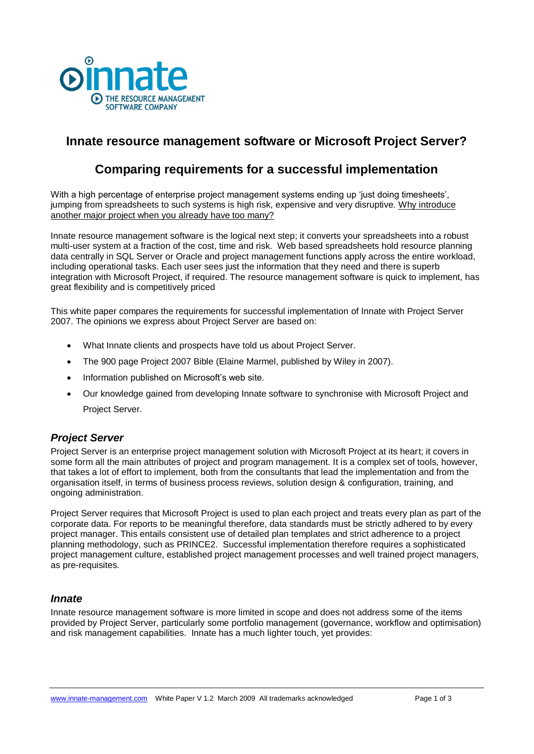

# **Innate resource management software or Microsoft Project Server?**

# **Comparing requirements for a successful implementation**

With a high percentage of enterprise project management systems ending up 'just doing timesheets', jumping from spreadsheets to such systems is high risk, expensive and very disruptive. Why introduce another major project when you already have too many?

Innate resource management software is the logical next step; it converts your spreadsheets into a robust multi-user system at a fraction of the cost, time and risk. Web based spreadsheets hold resource planning data centrally in SQL Server or Oracle and project management functions apply across the entire workload, including operational tasks. Each user sees just the information that they need and there is superb integration with Microsoft Project, if required. The resource management software is quick to implement, has great flexibility and is competitively priced

This white paper compares the requirements for successful implementation of Innate with Project Server 2007. The opinions we express about Project Server are based on:

- What Innate clients and prospects have told us about Project Server.
- The 900 page Project 2007 Bible (Elaine Marmel, published by Wiley in 2007).
- Information published on Microsoft's web site.
- Our knowledge gained from developing Innate software to synchronise with Microsoft Project and Project Server.

## *Project Server*

Project Server is an enterprise project management solution with Microsoft Project at its heart; it covers in some form all the main attributes of project and program management. It is a complex set of tools, however, that takes a lot of effort to implement, both from the consultants that lead the implementation and from the organisation itself, in terms of business process reviews, solution design & configuration, training, and ongoing administration.

Project Server requires that Microsoft Project is used to plan each project and treats every plan as part of the corporate data. For reports to be meaningful therefore, data standards must be strictly adhered to by every project manager. This entails consistent use of detailed plan templates and strict adherence to a project planning methodology, such as PRINCE2. Successful implementation therefore requires a sophisticated project management culture, established project management processes and well trained project managers, as pre-requisites.

## *Innate*

Innate resource management software is more limited in scope and does not address some of the items provided by Project Server, particularly some portfolio management (governance, workflow and optimisation) and risk management capabilities. Innate has a much lighter touch, yet provides: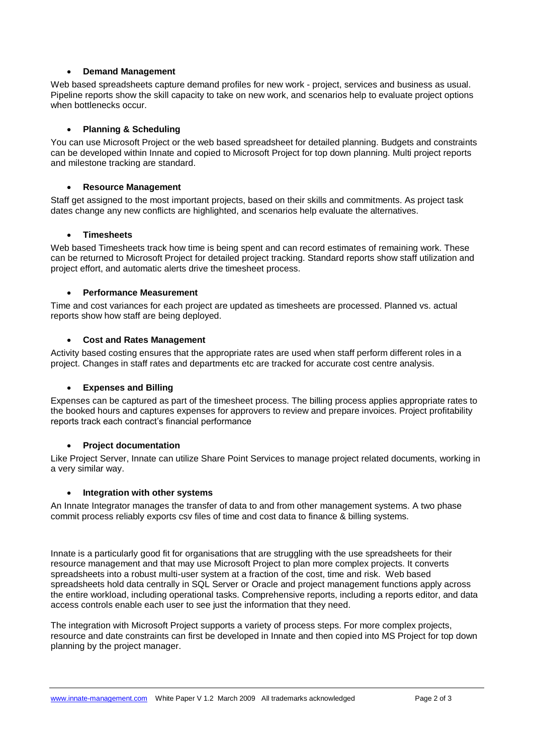#### **Demand Management**

Web based spreadsheets capture demand profiles for new work - project, services and business as usual. Pipeline reports show the skill capacity to take on new work, and scenarios help to evaluate project options when bottlenecks occur.

#### **Planning & Scheduling**

You can use Microsoft Project or the web based spreadsheet for detailed planning. Budgets and constraints can be developed within Innate and copied to Microsoft Project for top down planning. Multi project reports and milestone tracking are standard.

#### **Resource Management**

Staff get assigned to the most important projects, based on their skills and commitments. As project task dates change any new conflicts are highlighted, and scenarios help evaluate the alternatives.

#### **Timesheets**

Web based Timesheets track how time is being spent and can record estimates of remaining work. These can be returned to Microsoft Project for detailed project tracking. Standard reports show staff utilization and project effort, and automatic alerts drive the timesheet process.

#### **Performance Measurement**

Time and cost variances for each project are updated as timesheets are processed. Planned vs. actual reports show how staff are being deployed.

#### **Cost and Rates Management**

Activity based costing ensures that the appropriate rates are used when staff perform different roles in a project. Changes in staff rates and departments etc are tracked for accurate cost centre analysis.

### **Expenses and Billing**

Expenses can be captured as part of the timesheet process. The billing process applies appropriate rates to the booked hours and captures expenses for approvers to review and prepare invoices. Project profitability reports track each contract's financial performance

### **Project documentation**

Like Project Server, Innate can utilize Share Point Services to manage project related documents, working in a very similar way.

### **Integration with other systems**

An Innate Integrator manages the transfer of data to and from other management systems. A two phase commit process reliably exports csv files of time and cost data to finance & billing systems.

Innate is a particularly good fit for organisations that are struggling with the use spreadsheets for their resource management and that may use Microsoft Project to plan more complex projects. It converts spreadsheets into a robust multi-user system at a fraction of the cost, time and risk. Web based spreadsheets hold data centrally in SQL Server or Oracle and project management functions apply across the entire workload, including operational tasks. Comprehensive reports, including a reports editor, and data access controls enable each user to see just the information that they need.

The integration with Microsoft Project supports a variety of process steps. For more complex projects, resource and date constraints can first be developed in Innate and then copied into MS Project for top down planning by the project manager.